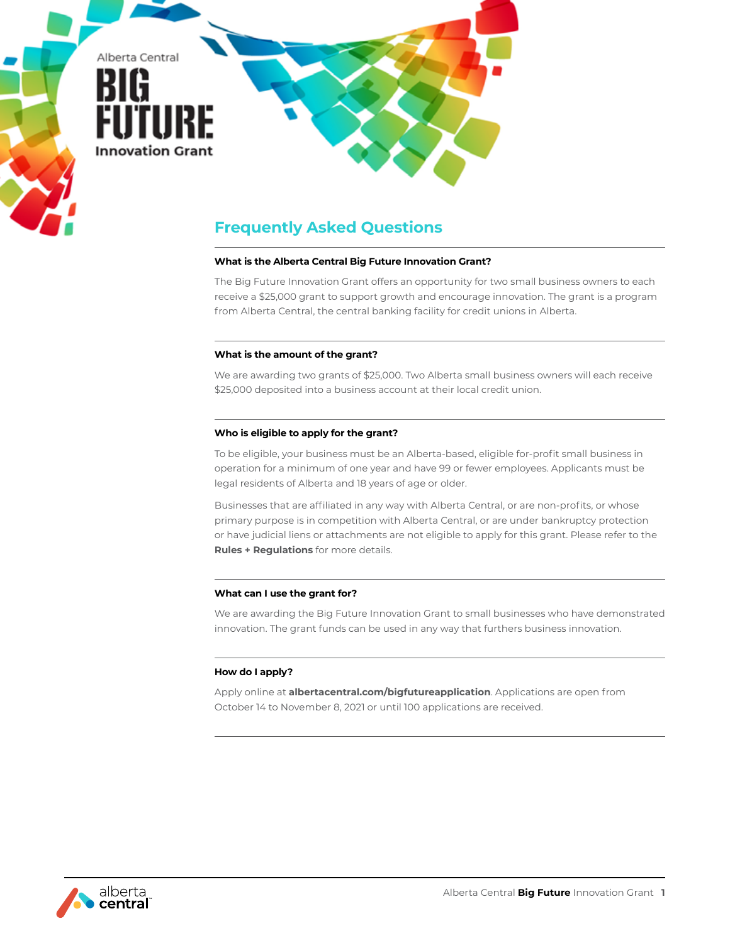

# **Frequently Asked Questions**

## **What is the Alberta Central Big Future Innovation Grant?**

The Big Future Innovation Grant offers an opportunity for two small business owners to each receive a \$25,000 grant to support growth and encourage innovation. The grant is a program from Alberta Central, the central banking facility for credit unions in Alberta.

#### **What is the amount of the grant?**

We are awarding two grants of \$25,000. Two Alberta small business owners will each receive \$25,000 deposited into a business account at their local credit union.

## **Who is eligible to apply for the grant?**

To be eligible, your business must be an Alberta-based, eligible for-profit small business in operation for a minimum of one year and have 99 or fewer employees. Applicants must be legal residents of Alberta and 18 years of age or older.

Businesses that are affiliated in any way with Alberta Central, or are non-profits, or whose primary purpose is in competition with Alberta Central, or are under bankruptcy protection or have judicial liens or attachments are not eligible to apply for this grant. Please refer to the **Rules + Regulations** for more details.

# **What can I use the grant for?**

We are awarding the Big Future Innovation Grant to small businesses who have demonstrated innovation. The grant funds can be used in any way that furthers business innovation.

# **How do I apply?**

Apply online at **albertacentral.com/bigfutureapplication**. Applications are open from October 14 to November 8, 2021 or until 100 applications are received.

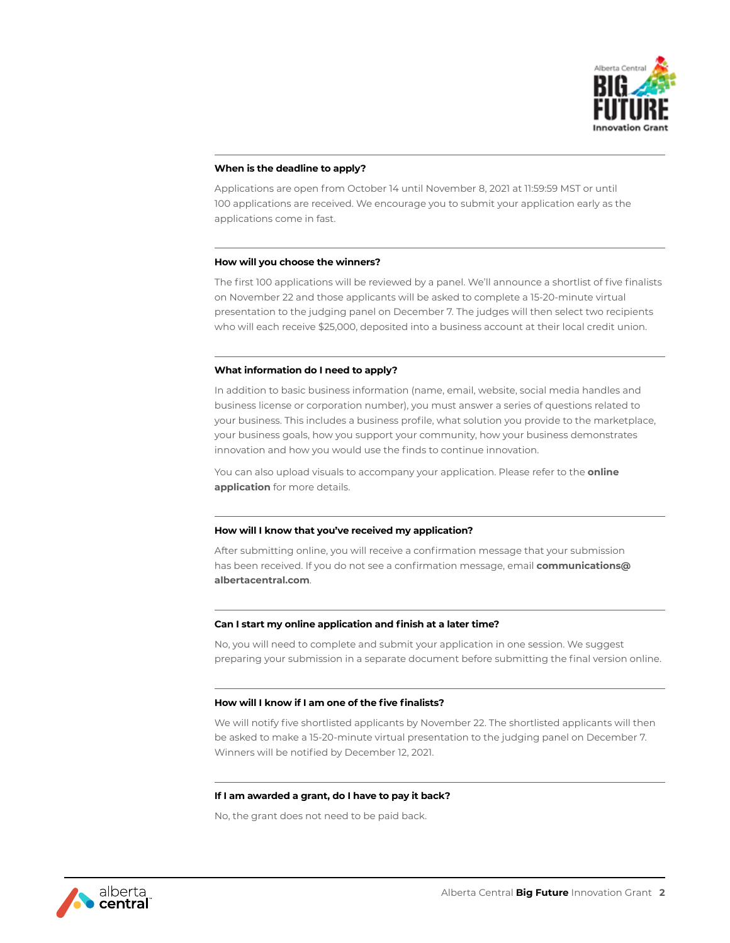

## **When is the deadline to apply?**

Applications are open from October 14 until November 8, 2021 at 11:59:59 MST or until 100 applications are received. We encourage you to submit your application early as the applications come in fast.

## **How will you choose the winners?**

The first 100 applications will be reviewed by a panel. We'll announce a shortlist of five finalists on November 22 and those applicants will be asked to complete a 15-20-minute virtual presentation to the judging panel on December 7. The judges will then select two recipients who will each receive \$25,000, deposited into a business account at their local credit union.

## **What information do I need to apply?**

In addition to basic business information (name, email, website, social media handles and business license or corporation number), you must answer a series of questions related to your business. This includes a business profile, what solution you provide to the marketplace, your business goals, how you support your community, how your business demonstrates innovation and how you would use the finds to continue innovation.

You can also upload visuals to accompany your application. Please refer to the **online application** for more details.

#### **How will I know that you've received my application?**

After submitting online, you will receive a confirmation message that your submission has been received. If you do not see a confirmation message, email **communications@ albertacentral.com**.

#### **Can I start my online application and finish at a later time?**

No, you will need to complete and submit your application in one session. We suggest preparing your submission in a separate document before submitting the final version online.

#### **How will I know if I am one of the five finalists?**

We will notify five shortlisted applicants by November 22. The shortlisted applicants will then be asked to make a 15-20-minute virtual presentation to the judging panel on December 7. Winners will be notified by December 12, 2021.

#### **If I am awarded a grant, do I have to pay it back?**

No, the grant does not need to be paid back.